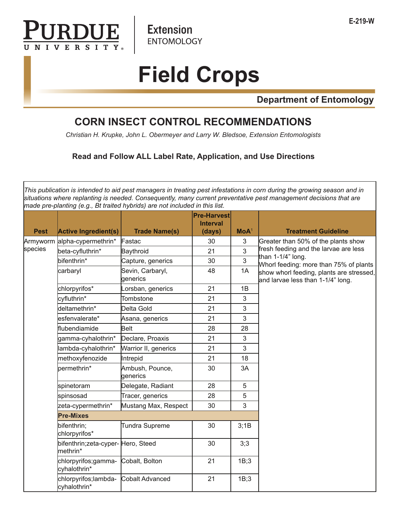

**Extension ENTOMOLOGY** 

## **Field Crops**

**Department of Entomology**

## **CORN INSECT CONTROL RECOMMENDATIONS**

*Christian H. Krupke, John L. Obermeyer and Larry W. Bledsoe, Extension Entomologists*

## **Read and Follow ALL Label Rate, Application, and Use Directions**

*This publication is intended to aid pest managers in treating pest infestations in corn during the growing season and in situations where replanting is needed. Consequently, many current preventative pest management decisions that are made pre-planting (e.g., Bt traited hybrids) are not included in this list.*

| <b>Pest</b> | <b>Active Ingredient(s)</b>                    | <b>Trade Name(s)</b>         | <b>Pre-Harvest</b><br><b>Interval</b><br>(days) | MoA <sup>1</sup> | <b>Treatment Guideline</b>                                                    |
|-------------|------------------------------------------------|------------------------------|-------------------------------------------------|------------------|-------------------------------------------------------------------------------|
| Armyworm    | alpha-cypermethrin*                            | Fastac                       | 30                                              | 3                | Greater than 50% of the plants show                                           |
| species     | beta-cyfluthrin*                               | Baythroid                    | 21                                              | $\overline{3}$   | fresh feeding and the larvae are less<br>than 1-1/4" long.                    |
|             | bifenthrin*                                    | Capture, generics            | 30                                              | 3                | Whorl feeding: more than 75% of plants                                        |
|             | carbaryl                                       | Sevin, Carbaryl,<br>generics | 48                                              | 1A               | show whorl feeding, plants are stressed,<br>and larvae less than 1-1/4" long. |
|             | chlorpyrifos*                                  | orsban, generics             | 21                                              | 1B               |                                                                               |
|             | cyfluthrin*                                    | Tombstone                    | 21                                              | 3                |                                                                               |
|             | deltamethrin*                                  | Delta Gold                   | 21                                              | 3                |                                                                               |
|             | esfenvalerate*                                 | Asana, generics              | 21                                              | 3                |                                                                               |
|             | flubendiamide                                  | <b>Belt</b>                  | 28                                              | 28               |                                                                               |
|             | gamma-cyhalothrin*                             | Declare, Proaxis             | 21                                              | 3                |                                                                               |
|             | lambda-cyhalothrin*                            | Warrior II, generics         | 21                                              | 3                |                                                                               |
|             | methoxyfenozide                                | Intrepid                     | 21                                              | 18               |                                                                               |
|             | permethrin*                                    | Ambush, Pounce,<br>generics  | 30                                              | 3A               |                                                                               |
|             | spinetoram                                     | Delegate, Radiant            | 28                                              | 5                |                                                                               |
|             | spinsosad                                      | Tracer, generics             | 28                                              | 5                |                                                                               |
|             | zeta-cypermethrin*                             | Mustang Max, Respect         | 30                                              | 3                |                                                                               |
|             | <b>Pre-Mixes</b>                               |                              |                                                 |                  |                                                                               |
|             | bifenthrin;<br>chlorpyrifos*                   | <b>Tundra Supreme</b>        | 30                                              | 3,1B             |                                                                               |
|             | bifenthrin;zeta-cyper- Hero, Steed<br>methrin* |                              | 30                                              | 3;3              |                                                                               |
|             | chlorpyrifos;gamma-<br>cyhalothrin*            | Cobalt, Bolton               | 21                                              | 1B;3             |                                                                               |
|             | chlorpyrifos;lambda-<br>cyhalothrin*           | <b>Cobalt Advanced</b>       | 21                                              | 1B;3             |                                                                               |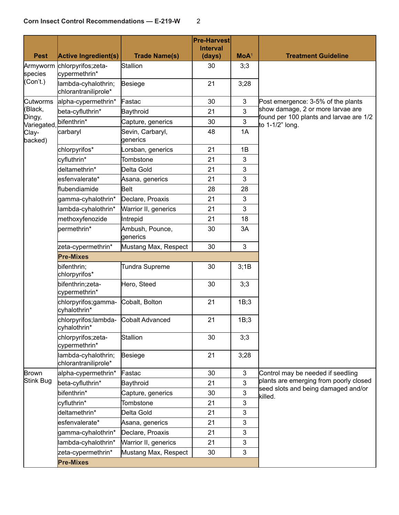| <b>Pest</b>          | <b>Active Ingredient(s)</b>                 | <b>Trade Name(s)</b>         | <b>Pre-Harvest</b><br><b>Interval</b><br>(days) | MoA <sup>1</sup> | <b>Treatment Guideline</b>                                                    |
|----------------------|---------------------------------------------|------------------------------|-------------------------------------------------|------------------|-------------------------------------------------------------------------------|
| Armyworm<br>species  | chlorpyrifos;zeta-<br>cypermethrin*         | Stallion                     | 30                                              | 3;3              |                                                                               |
| (Con't.)             | lambda-cyhalothrin;<br>chlorantraniliprole* | Besiege                      | 21                                              | 3;28             |                                                                               |
| Cutworms             | alpha-cypermethrin*                         | Fastac                       | 30                                              | 3                | Post emergence: 3-5% of the plants                                            |
| (Black,              | beta-cyfluthrin*                            | Baythroid                    | 21                                              | $\overline{3}$   | show damage, 2 or more larvae are<br>found per 100 plants and larvae are 1/2  |
| Dingy,<br>Variegated | bifenthrin*                                 | Capture, generics            | 30                                              | 3                | to $1-1/2$ " long.                                                            |
| Clay-<br>backed)     | carbaryl                                    | Sevin, Carbaryl,<br>generics | 48                                              | 1A               |                                                                               |
|                      | chlorpyrifos*                               | Lorsban, generics            | 21                                              | 1B               |                                                                               |
|                      | cyfluthrin*                                 | Tombstone                    | 21                                              | 3                |                                                                               |
|                      | deltamethrin*                               | Delta Gold                   | 21                                              | 3                |                                                                               |
|                      | esfenvalerate*                              | Asana, generics              | 21                                              | 3                |                                                                               |
|                      | flubendiamide                               | Belt                         | 28                                              | 28               |                                                                               |
|                      | gamma-cyhalothrin*                          | Declare, Proaxis             | 21                                              | 3                |                                                                               |
|                      | lambda-cyhalothrin*                         | Warrior II, generics         | 21                                              | 3                |                                                                               |
|                      | methoxyfenozide                             | Intrepid                     | 21                                              | 18               |                                                                               |
|                      | permethrin*                                 | Ambush, Pounce,<br>generics  | 30                                              | 3A               |                                                                               |
|                      | zeta-cypermethrin*                          | Mustang Max, Respect         | 30                                              | 3                |                                                                               |
|                      | <b>Pre-Mixes</b>                            |                              |                                                 |                  |                                                                               |
|                      | bifenthrin;<br>chlorpyrifos*                | <b>Tundra Supreme</b>        | 30                                              | 3;1B             |                                                                               |
|                      | bifenthrin;zeta-<br>cypermethrin*           | Hero, Steed                  | 30                                              | 3;3              |                                                                               |
|                      | chlorpyrifos;gamma-<br>cyhalothrin*         | Cobalt, Bolton               | 21                                              | 1B;3             |                                                                               |
|                      | chlorpyrifos;lambda-<br> cyhalothrin*       | Cobalt Advanced              | 21                                              | 1B;3             |                                                                               |
|                      | chlorpyrifos;zeta-<br>cypermethrin*         | Stallion                     | 30                                              | 3;3              |                                                                               |
|                      | lambda-cyhalothrin;<br>chlorantraniliprole* | Besiege                      | 21                                              | 3;28             |                                                                               |
| Brown                | alpha-cypermethrin*                         | Fastac                       | 30                                              | $\mathbf{3}$     | Control may be needed if seedling                                             |
| Stink Bug            | beta-cyfluthrin*                            | Baythroid                    | 21                                              | 3                | plants are emerging from poorly closed<br>seed slots and being damaged and/or |
|                      | bifenthrin*                                 | Capture, generics            | 30                                              | 3                | killed.                                                                       |
|                      | cyfluthrin*                                 | Tombstone                    | 21                                              | 3                |                                                                               |
|                      | deltamethrin*                               | Delta Gold                   | 21                                              | 3                |                                                                               |
|                      | esfenvalerate*                              | Asana, generics              | 21                                              | 3                |                                                                               |
|                      | gamma-cyhalothrin*                          | Declare, Proaxis             | 21                                              | 3                |                                                                               |
|                      | lambda-cyhalothrin*                         | Warrior II, generics         | 21                                              | 3                |                                                                               |
|                      | zeta-cypermethrin*                          | Mustang Max, Respect         | 30                                              | 3                |                                                                               |
|                      | <b>Pre-Mixes</b>                            |                              |                                                 |                  |                                                                               |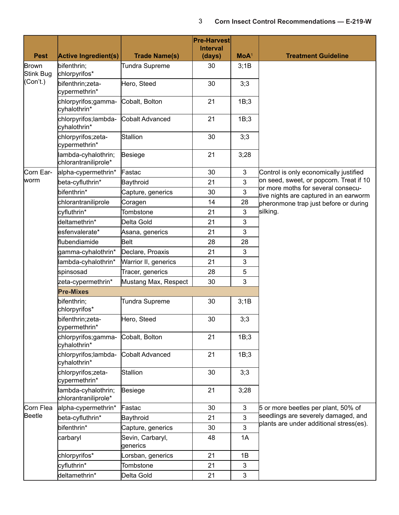|                    |                                             |                              | <b>Pre-Harvest</b><br><b>Interval</b> |                |                                                                              |
|--------------------|---------------------------------------------|------------------------------|---------------------------------------|----------------|------------------------------------------------------------------------------|
| <b>Pest</b>        | <b>Active Ingredient(s)</b>                 | <b>Trade Name(s)</b>         | (days)                                | $MOA^1$        | <b>Treatment Guideline</b>                                                   |
| Brown<br>Stink Bug | bifenthrin;<br>chlorpyrifos*                | Tundra Supreme               | 30                                    | 3;1B           |                                                                              |
| (Con't.)           | bifenthrin;zeta-<br>cypermethrin*           | Hero, Steed                  | 30                                    | 3;3            |                                                                              |
|                    | chlorpyrifos;gamma-<br>cyhalothrin*         | Cobalt, Bolton               | 21                                    | 1B;3           |                                                                              |
|                    | chlorpyrifos;lambda-<br>cyhalothrin*        | Cobalt Advanced              | 21                                    | 1B;3           |                                                                              |
|                    | chlorpyrifos;zeta-<br>cypermethrin*         | Stallion                     | 30                                    | 3;3            |                                                                              |
|                    | lambda-cyhalothrin;<br>chlorantraniliprole* | Besiege                      | 21                                    | 3;28           |                                                                              |
| Corn Ear-          | alpha-cypermethrin*                         | Fastac                       | 30                                    | $\mathfrak{Z}$ | Control is only economically justified                                       |
| lworm              | beta-cyfluthrin*                            | Baythroid                    | 21                                    | $\overline{3}$ | on seed, sweet, or popcorn. Treat if 10                                      |
|                    | bifenthrin*                                 | Capture, generics            | 30                                    | 3              | or more moths for several consecu-<br>tive nights are captured in an earworm |
|                    | chlorantraniliprole                         | Coragen                      | 14                                    | 28             | pheronmone trap just before or during                                        |
|                    | cyfluthrin*                                 | Tombstone                    | 21                                    | 3              | silking.                                                                     |
|                    | deltamethrin*                               | Delta Gold                   | 21                                    | 3              |                                                                              |
|                    | esfenvalerate*                              | Asana, generics              | 21                                    | 3              |                                                                              |
|                    | flubendiamide                               | Belt                         | 28                                    | 28             |                                                                              |
|                    | gamma-cyhalothrin*                          | Declare, Proaxis             | 21                                    | 3              |                                                                              |
|                    | lambda-cyhalothrin*                         | Warrior II, generics         | 21                                    | 3              |                                                                              |
|                    | spinsosad                                   | Tracer, generics             | 28                                    | 5              |                                                                              |
|                    | zeta-cypermethrin*                          | Mustang Max, Respect         | 30                                    | 3              |                                                                              |
|                    | <b>Pre-Mixes</b>                            |                              |                                       |                |                                                                              |
|                    | bifenthrin;<br>chlorpyrifos*                | <b>Tundra Supreme</b>        | 30                                    | 3;1B           |                                                                              |
|                    | bifenthrin;zeta-<br>cypermethrin*           | Hero, Steed                  | 30                                    | 3;3            |                                                                              |
|                    | chlorpyrifos;gamma-<br>cyhalothrin*         | Cobalt, Bolton               | 21                                    | 1B;3           |                                                                              |
|                    | chlorpyrifos;lambda-<br>cyhalothrin*        | Cobalt Advanced              | 21                                    | 1B;3           |                                                                              |
|                    | chlorpyrifos;zeta-<br>cypermethrin*         | <b>Stallion</b>              | 30                                    | 3;3            |                                                                              |
|                    | lambda-cyhalothrin;<br>chlorantraniliprole* | Besiege                      | 21                                    | 3;28           |                                                                              |
| Corn Flea          | alpha-cypermethrin*                         | Fastac                       | 30                                    | $\mathbf{3}$   | 5 or more beetles per plant, 50% of                                          |
| Beetle             | beta-cyfluthrin*                            | Baythroid                    | 21                                    | $\overline{3}$ | seedlings are severely damaged, and                                          |
|                    | bifenthrin*                                 | Capture, generics            | 30                                    | $\overline{3}$ | plants are under additional stress(es).                                      |
|                    | carbaryl                                    | Sevin, Carbaryl,<br>generics | 48                                    | 1A             |                                                                              |
|                    | chlorpyrifos*                               | orsban, generics             | 21                                    | 1B             |                                                                              |
|                    | cyfluthrin*                                 | Tombstone                    | 21                                    | 3              |                                                                              |
|                    | deltamethrin*                               | Delta Gold                   | 21                                    | 3              |                                                                              |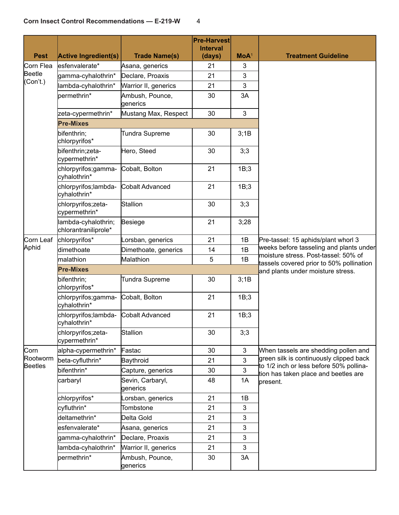|                            |                                             |                              | <b>Pre-Harvest</b><br><b>Interval</b> |                  |                                                                                    |  |  |  |
|----------------------------|---------------------------------------------|------------------------------|---------------------------------------|------------------|------------------------------------------------------------------------------------|--|--|--|
| <b>Pest</b>                | <b>Active Ingredient(s)</b>                 | <b>Trade Name(s)</b>         | (days)                                | MoA <sup>1</sup> | <b>Treatment Guideline</b>                                                         |  |  |  |
| Corn Flea                  | esfenvalerate*                              | Asana, generics              | 21                                    | 3                |                                                                                    |  |  |  |
| <b>Beetle</b>              | gamma-cyhalothrin*                          | Declare, Proaxis             | 21                                    | 3                |                                                                                    |  |  |  |
| (Con't.)                   | lambda-cyhalothrin*                         | Warrior II, generics         | 21                                    | 3                |                                                                                    |  |  |  |
|                            | permethrin*                                 | Ambush, Pounce,<br>generics  | 30                                    | 3A               |                                                                                    |  |  |  |
|                            | zeta-cypermethrin*                          | Mustang Max, Respect         | 30                                    | 3                |                                                                                    |  |  |  |
|                            | <b>Pre-Mixes</b>                            |                              |                                       |                  |                                                                                    |  |  |  |
|                            | bifenthrin;<br>chlorpyrifos*                | <b>Tundra Supreme</b>        | 30                                    | 3;1B             |                                                                                    |  |  |  |
|                            | bifenthrin;zeta-<br>cypermethrin*           | Hero, Steed                  | 30                                    | 3;3              |                                                                                    |  |  |  |
|                            | chlorpyrifos;gamma-<br>cyhalothrin*         | Cobalt, Bolton               | 21                                    | 1B;3             |                                                                                    |  |  |  |
|                            | chlorpyrifos;lambda-<br>cyhalothrin*        | Cobalt Advanced              | 21                                    | 1B;3             |                                                                                    |  |  |  |
|                            | chlorpyrifos;zeta-<br>cypermethrin*         | Stallion                     | 30                                    | 3;3              |                                                                                    |  |  |  |
|                            | lambda-cyhalothrin;<br>chlorantraniliprole* | Besiege                      | 21                                    | 3;28             |                                                                                    |  |  |  |
| Corn Leaf                  | chlorpyrifos*                               | Lorsban, generics            | 21                                    | 1B               | Pre-tassel: 15 aphids/plant whorl 3                                                |  |  |  |
| Aphid                      | dimethoate                                  | Dimethoate, generics         | 14                                    | 1B               | weeks before tasseling and plants under                                            |  |  |  |
|                            | malathion                                   | Malathion                    | 5                                     | 1B               | moisture stress. Post-tassel: 50% of<br>tassels covered prior to 50% pollination   |  |  |  |
|                            | <b>Pre-Mixes</b>                            |                              |                                       |                  | and plants under moisture stress.                                                  |  |  |  |
|                            | bifenthrin;<br>chlorpyrifos*                | <b>Tundra Supreme</b>        | 30                                    | 3;1B             |                                                                                    |  |  |  |
|                            | chlorpyrifos;gamma-<br>cyhalothrin*         | Cobalt, Bolton               | 21                                    | 1B;3             |                                                                                    |  |  |  |
|                            | chlorpyrifos;lambda-<br>cyhalothrin*        | Cobalt Advanced              | 21                                    | 1B;3             |                                                                                    |  |  |  |
|                            | chlorpyrifos;zeta-<br>cypermethrin*         | Stallion                     | 30                                    | 3;3              |                                                                                    |  |  |  |
| Corn                       | alpha-cypermethrin*                         | Fastac                       | 30                                    | 3                | When tassels are shedding pollen and                                               |  |  |  |
| Rootworm<br><b>Beetles</b> | beta-cyfluthrin*                            | Baythroid                    | 21                                    | 3                | green silk is continuously clipped back<br>to 1/2 inch or less before 50% pollina- |  |  |  |
|                            | bifenthrin*                                 | Capture, generics            | 30                                    | 3                | tion has taken place and beetles are                                               |  |  |  |
|                            | carbaryl                                    | Sevin, Carbaryl,<br>generics | 48                                    | 1A               | present.                                                                           |  |  |  |
|                            | chlorpyrifos*                               | Lorsban, generics            | 21                                    | 1B               |                                                                                    |  |  |  |
|                            | cyfluthrin*                                 | Tombstone                    | 21                                    | 3                |                                                                                    |  |  |  |
|                            | deltamethrin*                               | Delta Gold                   | 21                                    | 3                |                                                                                    |  |  |  |
|                            | esfenvalerate*                              | Asana, generics              | 21                                    | 3                |                                                                                    |  |  |  |
|                            | gamma-cyhalothrin*                          | Declare, Proaxis             | 21                                    | 3                |                                                                                    |  |  |  |
|                            | lambda-cyhalothrin*                         | Warrior II, generics         | 21                                    | 3                |                                                                                    |  |  |  |
|                            | permethrin*                                 | Ambush, Pounce,<br>generics  | 30                                    | 3A               |                                                                                    |  |  |  |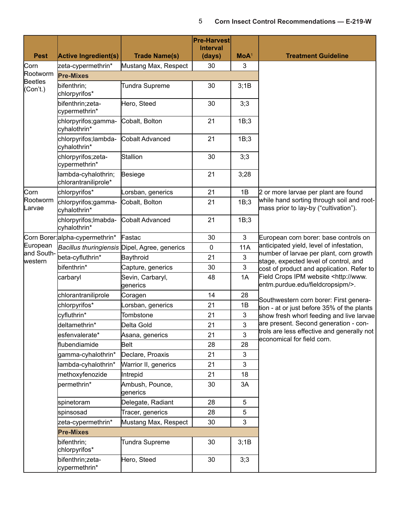| <b>Pest</b>                | <b>Active Ingredient(s)</b>                 | <b>Trade Name(s)</b>                          | <b>Pre-Harvest</b><br><b>Interval</b><br>(days) | $MOA^1$    | <b>Treatment Guideline</b>                                                            |
|----------------------------|---------------------------------------------|-----------------------------------------------|-------------------------------------------------|------------|---------------------------------------------------------------------------------------|
| Corn                       | zeta-cypermethrin*                          | Mustang Max, Respect                          | 30                                              | 3          |                                                                                       |
| Rootworm                   | <b>Pre-Mixes</b>                            |                                               |                                                 |            |                                                                                       |
| <b>Beetles</b><br>(Con't.) | bifenthrin;<br>chlorpyrifos*                | <b>Tundra Supreme</b>                         | 30                                              | 3;1B       |                                                                                       |
|                            | bifenthrin;zeta-<br>cypermethrin*           | Hero, Steed                                   | 30                                              | 3;3        |                                                                                       |
|                            | chlorpyrifos;gamma-<br>cyhalothrin*         | Cobalt, Bolton                                | 21                                              | 1B;3       |                                                                                       |
|                            | chlorpyrifos;lambda-<br>cyhalothrin*        | Cobalt Advanced                               | 21                                              | 1B;3       |                                                                                       |
|                            | chlorpyrifos;zeta-<br>cypermethrin*         | Stallion                                      | 30                                              | 3;3        |                                                                                       |
|                            | lambda-cyhalothrin;<br>chlorantraniliprole* | Besiege                                       | 21                                              | 3;28       |                                                                                       |
| Corn                       | chlorpyrifos*                               | Lorsban, generics                             | 21                                              | 1B         | 2 or more larvae per plant are found                                                  |
| Rootworm<br>Larvae         | chlorpyrifos;gamma-<br>cyhalothrin*         | Cobalt, Bolton                                | 21                                              | 1B;3       | while hand sorting through soil and root-<br>mass prior to lay-by ("cultivation").    |
|                            | chlorpyrifos; Imabda-<br>cyhalothrin*       | Cobalt Advanced                               | 21                                              | 1B;3       |                                                                                       |
|                            | Corn Borer: alpha-cypermethrin*             | Fastac                                        | 30                                              | 3          | European corn borer: base controls on                                                 |
| European                   |                                             | Bacillus thuringiensis Dipel, Agree, generics | 0                                               | <b>11A</b> | anticipated yield, level of infestation,                                              |
| and South-<br>western      | beta-cyfluthrin*                            | Baythroid                                     | 21                                              | 3          | number of larvae per plant, corn growth<br>stage, expected level of control, and      |
|                            | bifenthrin*                                 | Capture, generics                             | 30                                              | 3          | cost of product and application. Refer to                                             |
|                            | carbaryl                                    | Sevin, Carbaryl,<br>generics                  | 48                                              | 1A         | Field Crops IPM website <http: www.<br="">entm.purdue.edu/fieldcropsipm/&gt;.</http:> |
|                            | chlorantraniliprole                         | Coragen                                       | 14                                              | 28         |                                                                                       |
|                            | chlorpyrifos*                               | Lorsban, generics                             | 21                                              | 1B         | Southwestern corn borer: First genera-<br>tion - at or just before 35% of the plants  |
|                            | cyfluthrin*                                 | Tombstone                                     | 21                                              | 3          | show fresh whorl feeding and live larvae                                              |
|                            | deltamethrin*                               | Delta Gold                                    | 21                                              | 3          | are present. Second generation - con-                                                 |
|                            | esfenvalerate*                              | Asana, generics                               | 21                                              | 3          | trols are less effective and generally not                                            |
|                            | flubendiamide                               | Belt                                          | 28                                              | 28         | economical for field corn.                                                            |
|                            | gamma-cyhalothrin*                          | Declare, Proaxis                              | 21                                              | 3          |                                                                                       |
|                            | lambda-cyhalothrin*                         | Warrior II, generics                          | 21                                              | 3          |                                                                                       |
|                            | methoxyfenozide                             | Intrepid                                      | 21                                              | 18         |                                                                                       |
|                            | permethrin*                                 | Ambush, Pounce,<br>generics                   | 30                                              | 3A         |                                                                                       |
|                            | spinetoram                                  | Delegate, Radiant                             | 28                                              | 5          |                                                                                       |
|                            | spinsosad                                   | Tracer, generics                              | 28                                              | 5          |                                                                                       |
|                            | zeta-cypermethrin*                          | Mustang Max, Respect                          | 30                                              | 3          |                                                                                       |
|                            | <b>Pre-Mixes</b>                            |                                               |                                                 |            |                                                                                       |
|                            | bifenthrin;<br>chlorpyrifos*                | Tundra Supreme                                | 30                                              | 3;1B       |                                                                                       |
|                            | bifenthrin;zeta-<br>cypermethrin*           | Hero, Steed                                   | 30                                              | 3;3        |                                                                                       |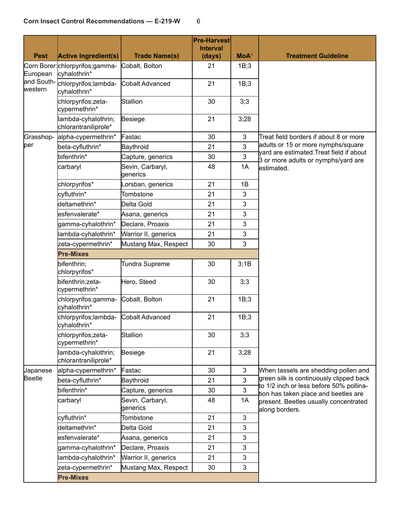| <b>Pest</b>           | <b>Active Ingredient(s)</b>                      | <b>Trade Name(s)</b>         | <b>Pre-Harvest</b><br><b>Interval</b><br>(days) | MoA <sup>1</sup> | <b>Treatment Guideline</b>                                                      |
|-----------------------|--------------------------------------------------|------------------------------|-------------------------------------------------|------------------|---------------------------------------------------------------------------------|
| European              | Corn Borer: chlorpyrifos; gamma-<br>cyhalothrin* | Cobalt, Bolton               | 21                                              | 1B;3             |                                                                                 |
| and South-<br>western | chlorpyrifos;lambda-<br>cyhalothrin*             | Cobalt Advanced              | 21                                              | 1B;3             |                                                                                 |
|                       | chlorpyrifos;zeta-<br>cypermethrin*              | Stallion                     | 30                                              | 3;3              |                                                                                 |
|                       | lambda-cyhalothrin;<br>chlorantraniliprole*      | Besiege                      | 21                                              | 3;28             |                                                                                 |
| Grasshop-             | alpha-cypermethrin*                              | Fastac                       | 30                                              | $\mathbf{3}$     | Treat field borders if about 8 or more                                          |
| per                   | beta-cyfluthrin*                                 | Baythroid                    | 21                                              | 3                | adults or 15 or more nymphs/square                                              |
|                       | bifenthrin*                                      | Capture, generics            | 30                                              | $\overline{3}$   | vard are estimated. Treat field if about<br>3 or more adults or nymphs/yard are |
|                       | carbaryl                                         | Sevin, Carbaryl,<br>generics | 48                                              | 1A               | estimated.                                                                      |
|                       | chlorpyrifos*                                    | Lorsban, generics            | 21                                              | 1B               |                                                                                 |
|                       | cyfluthrin*                                      | Tombstone                    | 21                                              | 3                |                                                                                 |
|                       | deltamethrin*                                    | Delta Gold                   | 21                                              | 3                |                                                                                 |
|                       | esfenvalerate*                                   | Asana, generics              | 21                                              | 3                |                                                                                 |
|                       | gamma-cyhalothrin*                               | Declare, Proaxis             | 21                                              | 3                |                                                                                 |
|                       | lambda-cyhalothrin*                              | Warrior II, generics         | 21                                              | 3                |                                                                                 |
|                       | zeta-cypermethrin*                               | Mustang Max, Respect         | 30                                              | 3                |                                                                                 |
|                       | <b>Pre-Mixes</b>                                 |                              |                                                 |                  |                                                                                 |
|                       | bifenthrin;<br>chlorpyrifos*                     | Tundra Supreme               | 30                                              | 3;1B             |                                                                                 |
|                       | bifenthrin;zeta-<br>cypermethrin*                | Hero, Steed                  | 30                                              | 3;3              |                                                                                 |
|                       | chlorpyrifos;gamma-<br>cyhalothrin*              | Cobalt, Bolton               | 21                                              | 1B;3             |                                                                                 |
|                       | chlorpyrifos;lambda-<br>cyhalothrin*             | Cobalt Advanced              | 21                                              | 1B;3             |                                                                                 |
|                       | chlorpyrifos;zeta-<br>cypermethrin*              | Stallion                     | 30                                              | 3;3              |                                                                                 |
|                       | lambda-cyhalothrin;<br>chlorantraniliprole*      | Besiege                      | 21                                              | 3;28             |                                                                                 |
| Japanese              | alpha-cypermethrin*                              | Fastac                       | 30                                              | $\mathfrak{S}$   | When tassels are shedding pollen and                                            |
| Beetle                | beta-cyfluthrin*                                 | Baythroid                    | 21                                              | 3                | green silk is continuously clipped back                                         |
|                       | bifenthrin*                                      | Capture, generics            | 30                                              | 3                | to 1/2 inch or less before 50% pollina-<br>tion has taken place and beetles are |
|                       | carbaryl                                         | Sevin, Carbaryl,<br>generics | 48                                              | 1A               | present. Beetles usually concentrated<br>along borders.                         |
|                       | cyfluthrin*                                      | Tombstone                    | 21                                              | 3                |                                                                                 |
|                       | deltamethrin*                                    | Delta Gold                   | 21                                              | 3                |                                                                                 |
|                       | esfenvalerate*                                   | Asana, generics              | 21                                              | 3                |                                                                                 |
|                       | gamma-cyhalothrin*                               | Declare, Proaxis             | 21                                              | 3                |                                                                                 |
|                       | lambda-cyhalothrin*                              | Warrior II, generics         | 21                                              | 3                |                                                                                 |
|                       | zeta-cypermethrin*                               | Mustang Max, Respect         | 30                                              | 3                |                                                                                 |
|                       | <b>Pre-Mixes</b>                                 |                              |                                                 |                  |                                                                                 |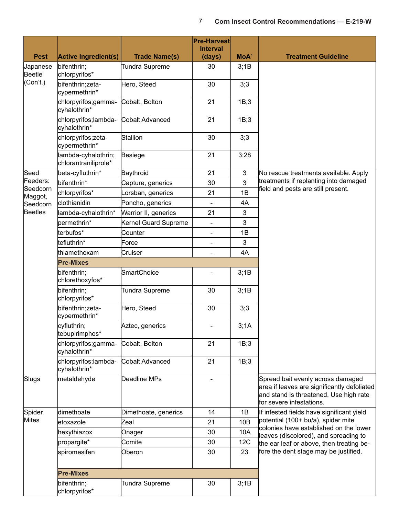| <b>Pest</b>         | <b>Active Ingredient(s)</b>                 | <b>Trade Name(s)</b>  | <b>Pre-Harvest</b><br><b>Interval</b><br>(days) | $MOA^1$      | <b>Treatment Guideline</b>                                                                                                                             |
|---------------------|---------------------------------------------|-----------------------|-------------------------------------------------|--------------|--------------------------------------------------------------------------------------------------------------------------------------------------------|
| Japanese            | bifenthrin;                                 | Tundra Supreme        | 30                                              | 3;1B         |                                                                                                                                                        |
| Beetle              | chlorpyrifos*                               |                       |                                                 |              |                                                                                                                                                        |
| (Con't.)            | bifenthrin;zeta-<br>cypermethrin*           | Hero, Steed           | 30                                              | 3;3          |                                                                                                                                                        |
|                     | chlorpyrifos;gamma-<br>cyhalothrin*         | Cobalt, Bolton        | 21                                              | 1B;3         |                                                                                                                                                        |
|                     | chlorpyrifos;lambda-<br>cyhalothrin*        | Cobalt Advanced       | 21                                              | 1B;3         |                                                                                                                                                        |
|                     | chlorpyrifos;zeta-<br>cypermethrin*         | Stallion              | 30                                              | 3;3          |                                                                                                                                                        |
|                     | lambda-cyhalothrin;<br>chlorantraniliprole* | Besiege               | 21                                              | 3;28         |                                                                                                                                                        |
| Seed                | beta-cyfluthrin*                            | Baythroid             | 21                                              | $\mathbf{3}$ | No rescue treatments available. Apply                                                                                                                  |
| Feeders:            | bifenthrin*                                 | Capture, generics     | 30                                              | 3            | treatments if replanting into damaged                                                                                                                  |
| Seedcorn            | chlorpyrifos*                               | orsban, generics      | 21                                              | 1B           | field and pests are still present.                                                                                                                     |
| Maggot,<br>Seedcorn | clothianidin                                | Poncho, generics      |                                                 | 4A           |                                                                                                                                                        |
| <b>Beetles</b>      | lambda-cyhalothrin*                         | Warrior II, generics  | 21                                              | 3            |                                                                                                                                                        |
|                     | bermethrin*                                 | Kernel Guard Supreme  | $\overline{\phantom{0}}$                        | 3            |                                                                                                                                                        |
|                     | terbufos*                                   | Counter               | $\overline{\phantom{0}}$                        | 1B           |                                                                                                                                                        |
|                     | tefluthrin*                                 | Force                 |                                                 | 3            |                                                                                                                                                        |
|                     | thiamethoxam                                | Cruiser               | $\overline{\phantom{0}}$                        | 4A           |                                                                                                                                                        |
|                     | <b>Pre-Mixes</b>                            |                       |                                                 |              |                                                                                                                                                        |
|                     | bifenthrin;<br>chlorethoxyfos*              | SmartChoice           | $\overline{\phantom{0}}$                        | 3;1B         |                                                                                                                                                        |
|                     | bifenthrin;<br>chlorpyrifos*                | Tundra Supreme        | 30                                              | 3;1B         |                                                                                                                                                        |
|                     | bifenthrin;zeta-<br>cypermethrin*           | Hero, Steed           | 30                                              | 3;3          |                                                                                                                                                        |
|                     | cyfluthrin;<br>tebupirimphos*               | Aztec, generics       |                                                 | 3;1A         |                                                                                                                                                        |
|                     | chlorpyrifos;gamma-<br>cyhalothrin*         | Cobalt, Bolton        | 21                                              | 1B;3         |                                                                                                                                                        |
|                     | chlorpyrifos;lambda-<br>cyhalothrin*        | Cobalt Advanced       | 21                                              | 1B;3         |                                                                                                                                                        |
| Slugs               | metaldehyde                                 | Deadline MPs          |                                                 |              | Spread bait evenly across damaged<br>area if leaves are significantly defoliated<br>and stand is threatened. Use high rate<br>for severe infestations. |
| Spider              | dimethoate                                  | Dimethoate, generics  | 14                                              | 1B           | If infested fields have significant yield                                                                                                              |
| <b>Mites</b>        | letoxazole                                  | Zeal                  | 21                                              | 10B          | potential (100+ bu/a), spider mite                                                                                                                     |
|                     | hexythiazox                                 | Onager                | 30                                              | 10A          | colonies have established on the lower<br>leaves (discolored), and spreading to                                                                        |
|                     | propargite*                                 | Comite                | 30                                              | 12C          | the ear leaf or above, then treating be-                                                                                                               |
|                     | spiromesifen                                | Oberon                | 30                                              | 23           | fore the dent stage may be justified.                                                                                                                  |
|                     | <b>Pre-Mixes</b>                            |                       |                                                 |              |                                                                                                                                                        |
|                     | bifenthrin;<br>chlorpyrifos*                | <b>Tundra Supreme</b> | 30                                              | 3;1B         |                                                                                                                                                        |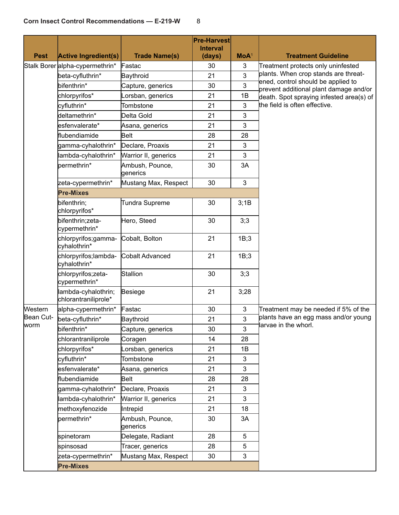| <b>Pest</b> | <b>Active Ingredient(s)</b>                 | <b>Trade Name(s)</b>        | <b>Pre-Harvest</b><br><b>Interval</b><br>(days) | $MOA^1$        | <b>Treatment Guideline</b>                                                         |
|-------------|---------------------------------------------|-----------------------------|-------------------------------------------------|----------------|------------------------------------------------------------------------------------|
|             | Stalk Borer alpha-cypermethrin*             | Fastac                      | 30                                              | 3              | Treatment protects only uninfested                                                 |
|             | beta-cyfluthrin*                            | Baythroid                   | 21                                              | 3              | plants. When crop stands are threat-                                               |
|             | bifenthrin*                                 | Capture, generics           | 30                                              | 3              | ened, control should be applied to                                                 |
|             | chlorpyrifos*                               | orsban, generics            | 21                                              | 1B             | prevent additional plant damage and/or<br>death. Spot spraying infested area(s) of |
|             | cyfluthrin*                                 | Tombstone                   | 21                                              | 3              | the field is often effective.                                                      |
|             | deltamethrin*                               | Delta Gold                  | 21                                              | 3              |                                                                                    |
|             | esfenvalerate*                              | Asana, generics             | 21                                              | 3              |                                                                                    |
|             | flubendiamide                               | Belt                        | 28                                              | 28             |                                                                                    |
|             | gamma-cyhalothrin*                          | Declare, Proaxis            | 21                                              | 3              |                                                                                    |
|             | lambda-cyhalothrin*                         | Warrior II, generics        | 21                                              | 3              |                                                                                    |
|             | permethrin*                                 | Ambush, Pounce,<br>generics | 30                                              | 3A             |                                                                                    |
|             | zeta-cypermethrin*                          | Mustang Max, Respect        | 30                                              | $\mathfrak{S}$ |                                                                                    |
|             | <b>Pre-Mixes</b>                            |                             |                                                 |                |                                                                                    |
|             | bifenthrin;<br>chlorpyrifos*                | <b>Tundra Supreme</b>       | 30                                              | 3;1B           |                                                                                    |
|             | bifenthrin;zeta-<br>cypermethrin*           | Hero, Steed                 | 30                                              | 3;3            |                                                                                    |
|             | chlorpyrifos;gamma-<br>cyhalothrin*         | Cobalt, Bolton              | 21                                              | 1B;3           |                                                                                    |
|             | chlorpyrifos;lambda-<br>cyhalothrin*        | Cobalt Advanced             | 21                                              | 1B;3           |                                                                                    |
|             | chlorpyrifos;zeta-<br>cypermethrin*         | Stallion                    | 30                                              | 3;3            |                                                                                    |
|             | lambda-cyhalothrin;<br>chlorantraniliprole* | Besiege                     | 21                                              | 3;28           |                                                                                    |
| Western     | alpha-cypermethrin*                         | Fastac                      | 30                                              | 3              | Treatment may be needed if 5% of the                                               |
| Bean Cut-   | beta-cyfluthrin*                            | Baythroid                   | 21                                              | 3              | plants have an egg mass and/or young                                               |
| worm        | bifenthrin*                                 | Capture, generics           | 30                                              | 3              | larvae in the whorl.                                                               |
|             | chlorantraniliprole                         | Coragen                     | 14                                              | 28             |                                                                                    |
|             | chlorpyrifos*                               | Lorsban, generics           | 21                                              | 1B             |                                                                                    |
|             | cyfluthrin*                                 | Tombstone                   | 21                                              | 3              |                                                                                    |
|             | esfenvalerate*                              | Asana, generics             | 21                                              | 3              |                                                                                    |
|             | flubendiamide                               | Belt                        | 28                                              | 28             |                                                                                    |
|             | gamma-cyhalothrin*                          | Declare, Proaxis            | 21                                              | 3              |                                                                                    |
|             | lambda-cyhalothrin*                         | Warrior II, generics        | 21                                              | 3              |                                                                                    |
|             | methoxyfenozide                             | Intrepid                    | 21                                              | 18             |                                                                                    |
|             | permethrin*                                 | Ambush, Pounce,<br>generics | 30                                              | 3A             |                                                                                    |
|             | spinetoram                                  | Delegate, Radiant           | 28                                              | 5              |                                                                                    |
|             | spinsosad                                   | Tracer, generics            | 28                                              | 5              |                                                                                    |
|             | zeta-cypermethrin*                          | Mustang Max, Respect        | 30                                              | 3              |                                                                                    |
|             | <b>Pre-Mixes</b>                            |                             |                                                 |                |                                                                                    |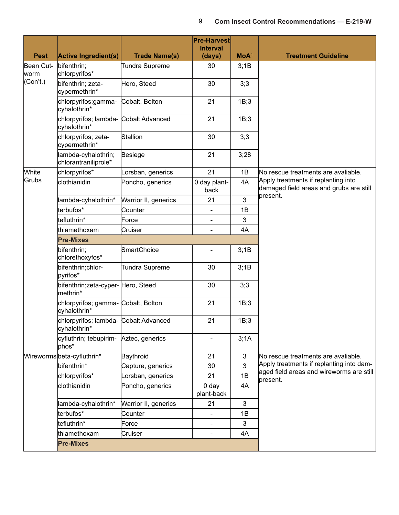| <b>Pest</b>       | <b>Active Ingredient(s)</b>                                       | <b>Trade Name(s)</b>  | <b>Pre-Harvest</b><br><b>Interval</b><br>(days) | MoA <sup>1</sup> | <b>Treatment Guideline</b>                                                     |
|-------------------|-------------------------------------------------------------------|-----------------------|-------------------------------------------------|------------------|--------------------------------------------------------------------------------|
| Bean Cut-<br>worm | bifenthrin;<br>chlorpyrifos*                                      | <b>Tundra Supreme</b> | 30                                              | 3;1B             |                                                                                |
| (Con't.)          | bifenthrin; zeta-<br>cypermethrin*                                | Hero, Steed           | 30                                              | 3;3              |                                                                                |
|                   | chlorpyrifos;gamma-<br>cyhalothrin*                               | Cobalt, Bolton        | 21                                              | 1B;3             |                                                                                |
|                   | chlorpyrifos; lambda-<br>cyhalothrin*                             | Cobalt Advanced       | 21                                              | 1B;3             |                                                                                |
|                   | chlorpyrifos; zeta-<br>cypermethrin*                              | Stallion              | 30                                              | 3;3              |                                                                                |
|                   | lambda-cyhalothrin;<br>chlorantraniliprole*                       | Besiege               | 21                                              | 3;28             |                                                                                |
| White             | chlorpyrifos*                                                     | Lorsban, generics     | 21                                              | 1B               | No rescue treatments are avaliable.                                            |
| Grubs             | clothianidin                                                      | Poncho, generics      | 0 day plant-<br>back                            | 4A               | Apply treatments if replanting into<br>damaged field areas and grubs are still |
|                   | lambda-cyhalothrin*                                               | Warrior II, generics  | 21                                              | 3                | present.                                                                       |
|                   | terbufos*                                                         | Counter               |                                                 | 1B               |                                                                                |
|                   | tefluthrin*                                                       | Force                 | -                                               | 3                |                                                                                |
|                   | thiamethoxam                                                      | Cruiser               |                                                 | 4A               |                                                                                |
|                   | <b>Pre-Mixes</b>                                                  |                       |                                                 |                  |                                                                                |
|                   | bifenthrin;<br>chlorethoxyfos*                                    | SmartChoice           |                                                 | 3;1B             |                                                                                |
|                   | bifenthrin;chlor-<br>pyrifos*                                     | <b>Tundra Supreme</b> | 30                                              | 3;1B             |                                                                                |
|                   | bifenthrin;zeta-cyper- Hero, Steed<br>methrin*                    |                       | 30                                              | 3;3              |                                                                                |
|                   | chlorpyrifos; gamma- Cobalt, Bolton<br>cyhalothrin*               |                       | 21                                              | 1B;3             |                                                                                |
|                   | chlorpyrifos; lambda- Cobalt Advanced<br>cyhalothrin <sup>,</sup> |                       | 21                                              | 1B;3             |                                                                                |
|                   | cyfluthrin; tebupirim-<br>phos*                                   | Aztec, generics       |                                                 | 3;1A             |                                                                                |
|                   | Wireworms beta-cyfluthrin*                                        | Baythroid             | 21                                              | $\mathfrak{S}$   | No rescue treatments are avaliable.                                            |
|                   | bifenthrin*                                                       | Capture, generics     | 30                                              | 3                | Apply treatments if replanting into dam-                                       |
|                   | chlorpyrifos*                                                     | Lorsban, generics     | 21                                              | 1B               | aged field areas and wireworms are still<br>present.                           |
|                   | clothianidin                                                      | Poncho, generics      | 0 <sub>day</sub><br>plant-back                  | 4A               |                                                                                |
|                   | lambda-cyhalothrin*                                               | Warrior II, generics  | 21                                              | 3                |                                                                                |
|                   | terbufos*                                                         | Counter               | $\overline{\phantom{0}}$                        | 1B               |                                                                                |
|                   | tefluthrin*                                                       | Force                 | $\overline{\phantom{0}}$                        | 3                |                                                                                |
|                   | thiamethoxam                                                      | Cruiser               | -                                               | 4A               |                                                                                |
|                   | <b>Pre-Mixes</b>                                                  |                       |                                                 |                  |                                                                                |